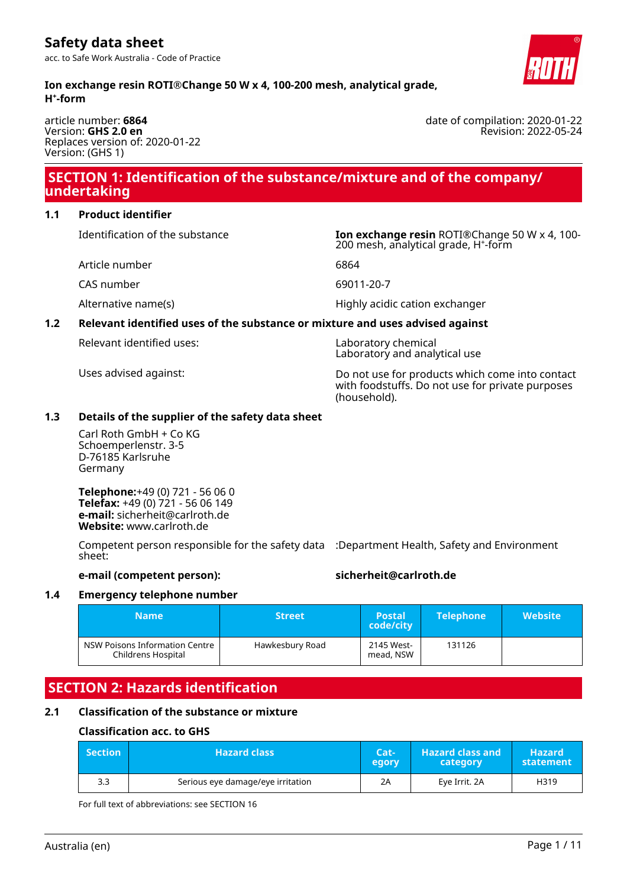**Ion exchange resin ROTI®Change 50 W x 4, 100-200 mesh, analytical grade, H⁺-form**

#### article number: **6864** Version: **GHS 2.0 en** Replaces version of: 2020-01-22 Version: (GHS 1)

### **SECTION 1: Identification of the substance/mixture and of the company/ undertaking**

#### **1.1 Product identifier**

Identification of the substance **Ion exchange resin** ROTI®Change 50 W x 4, 100-

Article number 6864

CAS number 69011-20-7

### **1.2 Relevant identified uses of the substance or mixture and uses advised against**

with foodstuffs. Do not use for private purposes

#### **1.3 Details of the supplier of the safety data sheet**

Carl Roth GmbH + Co KG Schoemperlenstr. 3-5 D-76185 Karlsruhe Germany

**Telephone:**+49 (0) 721 - 56 06 0 **Telefax:** +49 (0) 721 - 56 06 149 **e-mail:** sicherheit@carlroth.de **Website:** www.carlroth.de

Competent person responsible for the safety data :Department Health, Safety and Environment sheet:

#### **e-mail (competent person): sicherheit@carlroth.de**

### **1.4 Emergency telephone number**

| <b>Name</b>                                          | <b>Street</b>   | <b>Postal</b><br>code/city | <b>Telephone</b> | <b>Website</b> |
|------------------------------------------------------|-----------------|----------------------------|------------------|----------------|
| NSW Poisons Information Centre<br>Childrens Hospital | Hawkesbury Road | 2145 West-<br>mead, NSW    | 131126           |                |

### **SECTION 2: Hazards identification**

#### **2.1 Classification of the substance or mixture**

#### **Classification acc. to GHS**

| <b>Section</b> | <b>Hazard class</b>               | Cat-<br>egory | <b>Hazard class and</b><br>category | Hazard<br>statement |
|----------------|-----------------------------------|---------------|-------------------------------------|---------------------|
| 3.3            | Serious eye damage/eye irritation | 2Α            | Eve Irrit, 2A                       | H319                |

For full text of abbreviations: see SECTION 16



date of compilation: 2020-01-22 Revision: 2022-05-24

Alternative name(s) and the Highly acidic cation exchanger

200 mesh, analytical grade, H<sup>+</sup>-form

# Relevant identified uses: Laboratory chemical

Laboratory and analytical use

Uses advised against: Do not use for products which come into contact (household).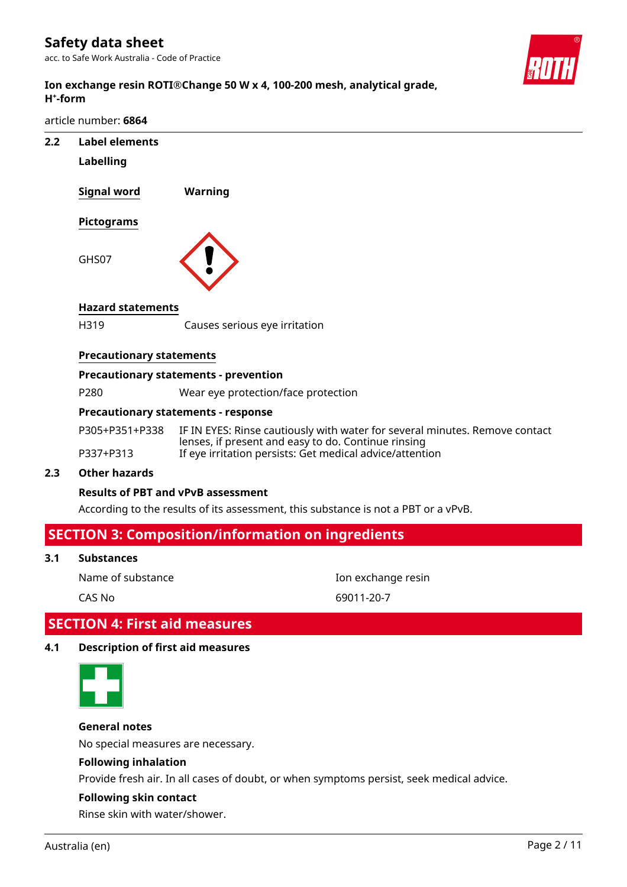### **Safety data sheet**

acc. to Safe Work Australia - Code of Practice



#### **Ion exchange resin ROTI®Change 50 W x 4, 100-200 mesh, analytical grade, H⁺-form**

article number: **6864**

| 2.2 | <b>Label elements</b>           |                                                                                                                                    |
|-----|---------------------------------|------------------------------------------------------------------------------------------------------------------------------------|
|     | <b>Labelling</b>                |                                                                                                                                    |
|     | <b>Signal word</b>              | <b>Warning</b>                                                                                                                     |
|     | Pictograms                      |                                                                                                                                    |
|     | GHS07                           |                                                                                                                                    |
|     | <b>Hazard statements</b>        |                                                                                                                                    |
|     | H319                            | Causes serious eye irritation                                                                                                      |
|     | <b>Precautionary statements</b> |                                                                                                                                    |
|     |                                 | <b>Precautionary statements - prevention</b>                                                                                       |
|     | P280                            | Wear eye protection/face protection                                                                                                |
|     |                                 | <b>Precautionary statements - response</b>                                                                                         |
|     | P305+P351+P338                  | IF IN EYES: Rinse cautiously with water for several minutes. Remove contact<br>lenses, if present and easy to do. Continue rinsing |
|     | P337+P313                       | If eye irritation persists: Get medical advice/attention                                                                           |
| 2.3 | <b>Other hazards</b>            |                                                                                                                                    |
|     |                                 | <b>Results of PBT and vPvB assessment</b>                                                                                          |
|     |                                 | According to the results of its assessment, this substance is not a PBT or a vPvB.                                                 |
|     |                                 | <b>SECTION 3: Composition/information on ingredients</b>                                                                           |
| 3.1 | <b>Substances</b>               |                                                                                                                                    |

Name of substance **Ion exchange resin** 

CAS No 69011-20-7

## **SECTION 4: First aid measures**

#### **4.1 Description of first aid measures**



**General notes**

No special measures are necessary.

#### **Following inhalation**

Provide fresh air. In all cases of doubt, or when symptoms persist, seek medical advice.

#### **Following skin contact**

Rinse skin with water/shower.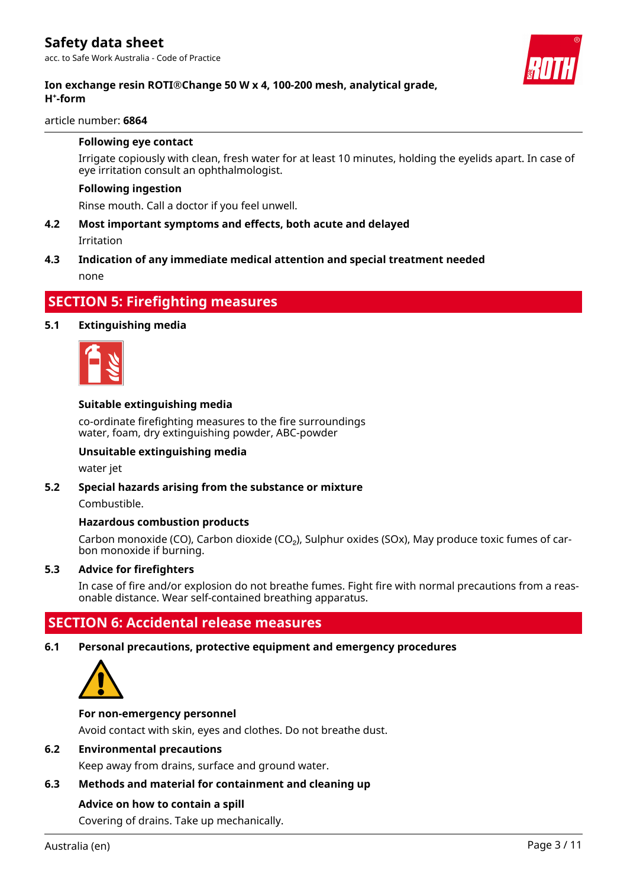

#### **Ion exchange resin ROTI®Change 50 W x 4, 100-200 mesh, analytical grade, H⁺-form**

article number: **6864**

#### **Following eye contact**

Irrigate copiously with clean, fresh water for at least 10 minutes, holding the eyelids apart. In case of eye irritation consult an ophthalmologist.

#### **Following ingestion**

Rinse mouth. Call a doctor if you feel unwell.

**4.2 Most important symptoms and effects, both acute and delayed** Irritation

#### **4.3 Indication of any immediate medical attention and special treatment needed**

none

#### **SECTION 5: Firefighting measures**

#### **5.1 Extinguishing media**



#### **Suitable extinguishing media**

co-ordinate firefighting measures to the fire surroundings water, foam, dry extinguishing powder, ABC-powder

#### **Unsuitable extinguishing media**

water jet

#### **5.2 Special hazards arising from the substance or mixture**

Combustible.

#### **Hazardous combustion products**

Carbon monoxide (CO), Carbon dioxide (CO<sub>2</sub>), Sulphur oxides (SOx), May produce toxic fumes of carbon monoxide if burning.

#### **5.3 Advice for firefighters**

In case of fire and/or explosion do not breathe fumes. Fight fire with normal precautions from a reasonable distance. Wear self-contained breathing apparatus.

### **SECTION 6: Accidental release measures**

#### **6.1 Personal precautions, protective equipment and emergency procedures**



#### **For non-emergency personnel**

Avoid contact with skin, eyes and clothes. Do not breathe dust.

#### **6.2 Environmental precautions**

Keep away from drains, surface and ground water.

#### **6.3 Methods and material for containment and cleaning up**

#### **Advice on how to contain a spill**

Covering of drains. Take up mechanically.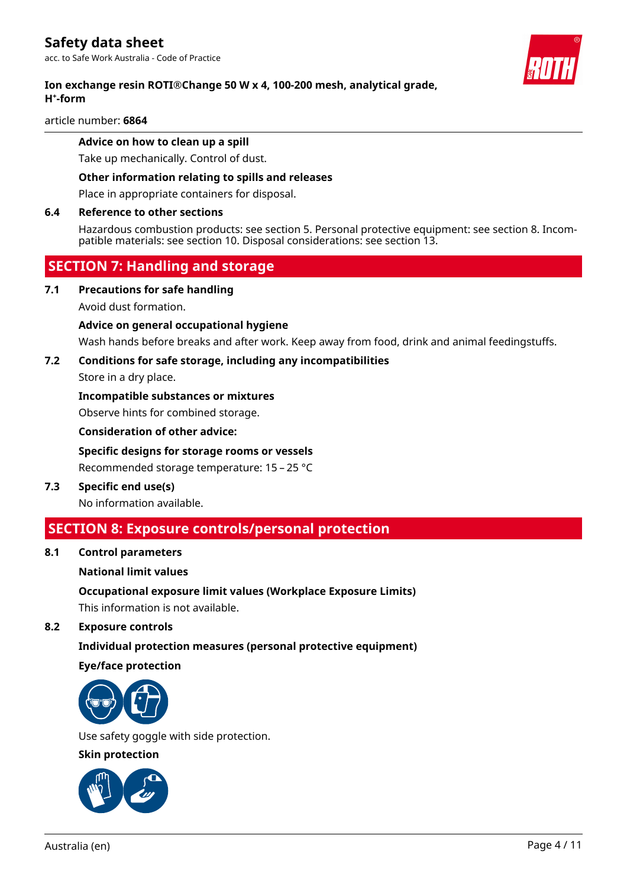#### **Ion exchange resin ROTI®Change 50 W x 4, 100-200 mesh, analytical grade, H⁺-form**

article number: **6864**

#### **Advice on how to clean up a spill**

Take up mechanically. Control of dust.

#### **Other information relating to spills and releases**

Place in appropriate containers for disposal.

#### **6.4 Reference to other sections**

Hazardous combustion products: see section 5. Personal protective equipment: see section 8. Incompatible materials: see section 10. Disposal considerations: see section 13.

### **SECTION 7: Handling and storage**

**7.1 Precautions for safe handling**

Avoid dust formation.

#### **Advice on general occupational hygiene**

Wash hands before breaks and after work. Keep away from food, drink and animal feedingstuffs.

#### **7.2 Conditions for safe storage, including any incompatibilities**

Store in a dry place.

#### **Incompatible substances or mixtures**

Observe hints for combined storage.

**Consideration of other advice:**

## **Specific designs for storage rooms or vessels**

Recommended storage temperature: 15 – 25 °C

**7.3 Specific end use(s)**

No information available.

### **SECTION 8: Exposure controls/personal protection**

**8.1 Control parameters**

#### **National limit values**

**Occupational exposure limit values (Workplace Exposure Limits)**

This information is not available.

**8.2 Exposure controls**

#### **Individual protection measures (personal protective equipment)**

#### **Eye/face protection**



Use safety goggle with side protection.

#### **Skin protection**



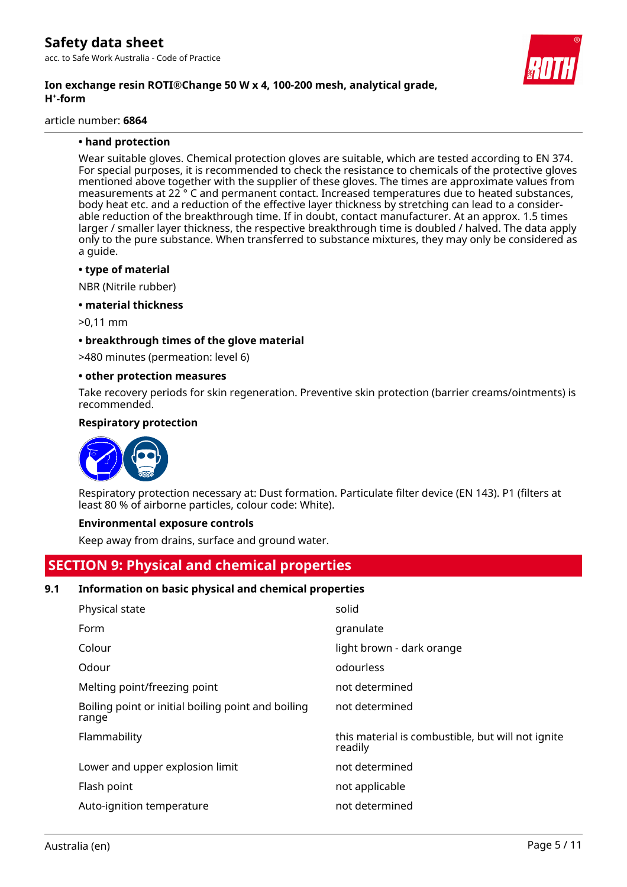#### **Ion exchange resin ROTI®Change 50 W x 4, 100-200 mesh, analytical grade, H⁺-form**

article number: **6864**

#### **• hand protection**

Wear suitable gloves. Chemical protection gloves are suitable, which are tested according to EN 374. For special purposes, it is recommended to check the resistance to chemicals of the protective gloves mentioned above together with the supplier of these gloves. The times are approximate values from measurements at 22 ° C and permanent contact. Increased temperatures due to heated substances, body heat etc. and a reduction of the effective layer thickness by stretching can lead to a considerable reduction of the breakthrough time. If in doubt, contact manufacturer. At an approx. 1.5 times larger / smaller layer thickness, the respective breakthrough time is doubled / halved. The data apply only to the pure substance. When transferred to substance mixtures, they may only be considered as a guide.

#### **• type of material**

NBR (Nitrile rubber)

**• material thickness**

>0,11 mm

#### **• breakthrough times of the glove material**

>480 minutes (permeation: level 6)

#### **• other protection measures**

Take recovery periods for skin regeneration. Preventive skin protection (barrier creams/ointments) is recommended.

#### **Respiratory protection**



Respiratory protection necessary at: Dust formation. Particulate filter device (EN 143). P1 (filters at least 80 % of airborne particles, colour code: White).

#### **Environmental exposure controls**

Keep away from drains, surface and ground water.

### **SECTION 9: Physical and chemical properties**

#### **9.1 Information on basic physical and chemical properties**

| solid                                                        |
|--------------------------------------------------------------|
| granulate                                                    |
| light brown - dark orange                                    |
| odourless                                                    |
| not determined                                               |
| not determined                                               |
| this material is combustible, but will not ignite<br>readily |
| not determined                                               |
| not applicable                                               |
| not determined                                               |
|                                                              |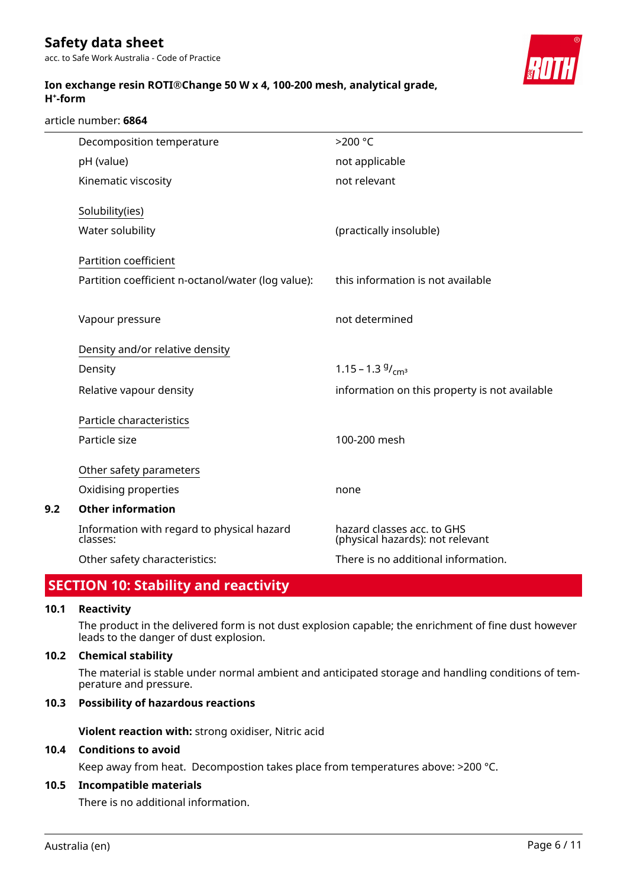**Ion exchange resin ROTI®Change 50 W x 4, 100-200 mesh, analytical grade,**



#### article number: **6864**

**H⁺-form**

| Decomposition temperature                              | $>200$ °C                                                      |
|--------------------------------------------------------|----------------------------------------------------------------|
| pH (value)                                             | not applicable                                                 |
| Kinematic viscosity                                    | not relevant                                                   |
| Solubility(ies)                                        |                                                                |
|                                                        |                                                                |
| Water solubility                                       | (practically insoluble)                                        |
| Partition coefficient                                  |                                                                |
| Partition coefficient n-octanol/water (log value):     | this information is not available                              |
|                                                        |                                                                |
| Vapour pressure                                        | not determined                                                 |
|                                                        |                                                                |
| Density and/or relative density                        |                                                                |
| Density                                                | 1.15 – 1.3 $9/cm^3$                                            |
| Relative vapour density                                | information on this property is not available                  |
|                                                        |                                                                |
| Particle characteristics                               |                                                                |
| Particle size                                          | 100-200 mesh                                                   |
| Other safety parameters                                |                                                                |
| Oxidising properties                                   | none                                                           |
| <b>Other information</b>                               |                                                                |
|                                                        |                                                                |
| Information with regard to physical hazard<br>classes: | hazard classes acc. to GHS<br>(physical hazards): not relevant |
| Other safety characteristics:                          | There is no additional information.                            |

### **SECTION 10: Stability and reactivity**

#### **10.1 Reactivity**

**9.2 Other information**

The product in the delivered form is not dust explosion capable; the enrichment of fine dust however leads to the danger of dust explosion.

#### **10.2 Chemical stability**

The material is stable under normal ambient and anticipated storage and handling conditions of temperature and pressure.

#### **10.3 Possibility of hazardous reactions**

**Violent reaction with:** strong oxidiser, Nitric acid

#### **10.4 Conditions to avoid**

Keep away from heat. Decompostion takes place from temperatures above: >200 °C.

#### **10.5 Incompatible materials**

There is no additional information.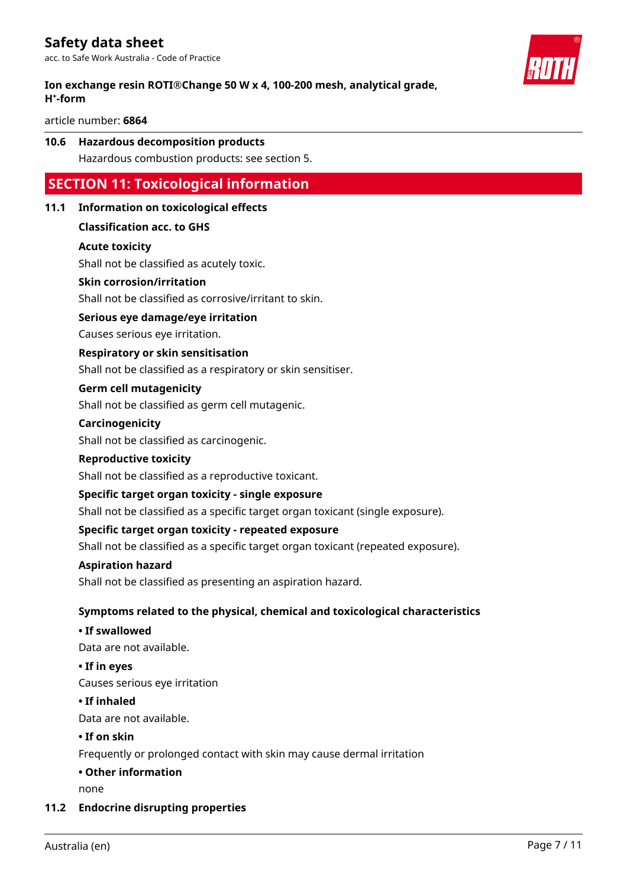#### **Ion exchange resin ROTI®Change 50 W x 4, 100-200 mesh, analytical grade, H⁺-form**

article number: **6864**

### **10.6 Hazardous decomposition products**

Hazardous combustion products: see section 5.

### **SECTION 11: Toxicological information**

#### **11.1 Information on toxicological effects**

#### **Classification acc. to GHS**

#### **Acute toxicity**

Shall not be classified as acutely toxic.

#### **Skin corrosion/irritation**

Shall not be classified as corrosive/irritant to skin.

#### **Serious eye damage/eye irritation**

Causes serious eye irritation.

#### **Respiratory or skin sensitisation**

Shall not be classified as a respiratory or skin sensitiser.

#### **Germ cell mutagenicity**

Shall not be classified as germ cell mutagenic.

#### **Carcinogenicity**

Shall not be classified as carcinogenic.

#### **Reproductive toxicity**

Shall not be classified as a reproductive toxicant.

#### **Specific target organ toxicity - single exposure**

Shall not be classified as a specific target organ toxicant (single exposure).

#### **Specific target organ toxicity - repeated exposure**

Shall not be classified as a specific target organ toxicant (repeated exposure).

#### **Aspiration hazard**

Shall not be classified as presenting an aspiration hazard.

#### **Symptoms related to the physical, chemical and toxicological characteristics**

#### **• If swallowed**

Data are not available.

#### **• If in eyes**

Causes serious eye irritation

#### **• If inhaled**

Data are not available.

#### **• If on skin**

Frequently or prolonged contact with skin may cause dermal irritation

#### **• Other information**

none

#### **11.2 Endocrine disrupting properties**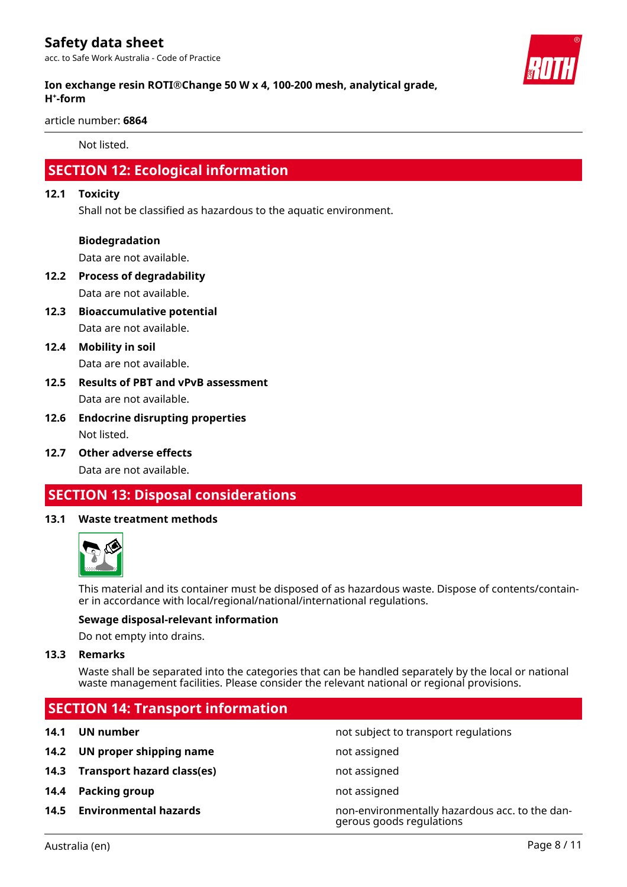### **Safety data sheet**

acc. to Safe Work Australia - Code of Practice



#### **Ion exchange resin ROTI®Change 50 W x 4, 100-200 mesh, analytical grade, H⁺-form**

article number: **6864**

Not listed.

### **SECTION 12: Ecological information**

#### **12.1 Toxicity**

Shall not be classified as hazardous to the aquatic environment.

#### **Biodegradation**

Data are not available.

- **12.2 Process of degradability** Data are not available.
- **12.3 Bioaccumulative potential** Data are not available.
- **12.4 Mobility in soil** Data are not available.
- **12.5 Results of PBT and vPvB assessment** Data are not available.
- **12.6 Endocrine disrupting properties** Not listed.
- **12.7 Other adverse effects** Data are not available.

### **SECTION 13: Disposal considerations**

#### **13.1 Waste treatment methods**



This material and its container must be disposed of as hazardous waste. Dispose of contents/container in accordance with local/regional/national/international regulations.

#### **Sewage disposal-relevant information**

Do not empty into drains.

#### **13.3 Remarks**

Waste shall be separated into the categories that can be handled separately by the local or national waste management facilities. Please consider the relevant national or regional provisions.

### **SECTION 14: Transport information**

- **14.2 UN proper shipping name** not assigned
- **14.3 Transport hazard class(es)** not assigned
- **14.4 Packing group not assigned**
- 

**14.1 UN number 14.1 UN** number

**14.5 Environmental hazards** non-environmentally hazardous acc. to the dangerous goods regulations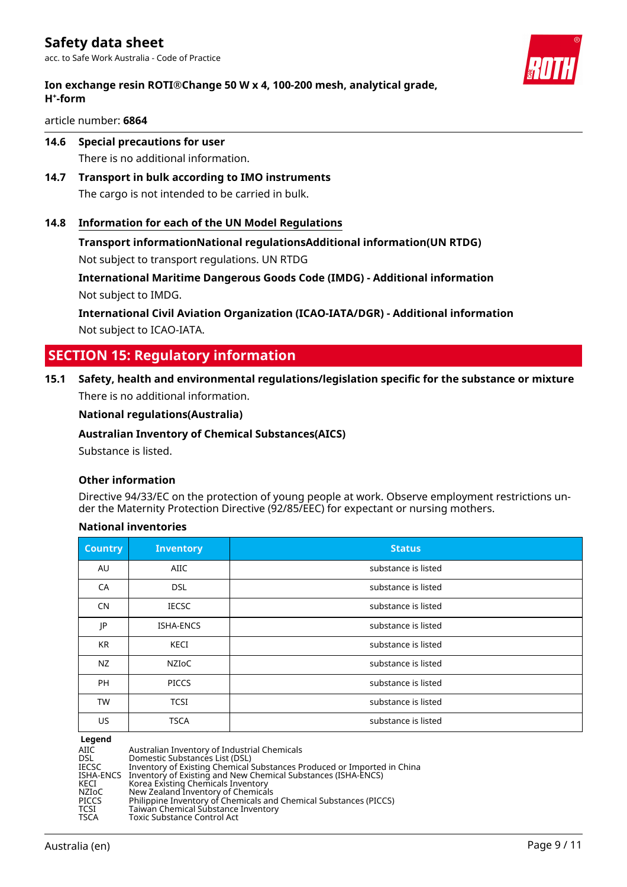

article number: **6864**

**14.6 Special precautions for user**

There is no additional information.

- **14.7 Transport in bulk according to IMO instruments** The cargo is not intended to be carried in bulk.
- **14.8 Information for each of the UN Model Regulations**

### **Transport informationNational regulationsAdditional information(UN RTDG)**

Not subject to transport regulations. UN RTDG

**International Maritime Dangerous Goods Code (IMDG) - Additional information** Not subject to IMDG.

**International Civil Aviation Organization (ICAO-IATA/DGR) - Additional information** Not subject to ICAO-IATA.

### **SECTION 15: Regulatory information**

**15.1 Safety, health and environmental regulations/legislation specific for the substance or mixture** There is no additional information.

#### **National regulations(Australia)**

**Australian Inventory of Chemical Substances(AICS)**

Substance is listed.

#### **Other information**

Directive 94/33/EC on the protection of young people at work. Observe employment restrictions under the Maternity Protection Directive (92/85/EEC) for expectant or nursing mothers.

#### **National inventories**

| <b>Country</b> | <b>Inventory</b> | <b>Status</b>       |
|----------------|------------------|---------------------|
| AU             | AIIC             | substance is listed |
| CA             | <b>DSL</b>       | substance is listed |
| <b>CN</b>      | <b>IECSC</b>     | substance is listed |
| JP             | <b>ISHA-ENCS</b> | substance is listed |
| <b>KR</b>      | KECI             | substance is listed |
| NZ             | NZIoC            | substance is listed |
| <b>PH</b>      | <b>PICCS</b>     | substance is listed |
| <b>TW</b>      | <b>TCSI</b>      | substance is listed |
| US             | <b>TSCA</b>      | substance is listed |

**Legend**

| AIIC<br>DSL<br>Domestic Substances List (DSL)<br>IECSC<br>KECI<br>NZIoC<br>PICCS<br>TCSI<br>TSCA<br>Toxic Substance Control Act | Australian Inventory of Industrial Chemicals<br>Inventory of Existing Chemical Substances Produced or Imported in China<br>ISHA-ENCS Inventory of Existing and New Chemical Substances (ISHA-ENCS)<br>Korea Existing Chemicals Inventory<br>New Zealand Inventory of Chemicals<br>Philippine Inventory of Chemicals and Chemical Substances (PICCS)<br>Taiwan Chemical Substance Inventory |
|---------------------------------------------------------------------------------------------------------------------------------|--------------------------------------------------------------------------------------------------------------------------------------------------------------------------------------------------------------------------------------------------------------------------------------------------------------------------------------------------------------------------------------------|
|---------------------------------------------------------------------------------------------------------------------------------|--------------------------------------------------------------------------------------------------------------------------------------------------------------------------------------------------------------------------------------------------------------------------------------------------------------------------------------------------------------------------------------------|

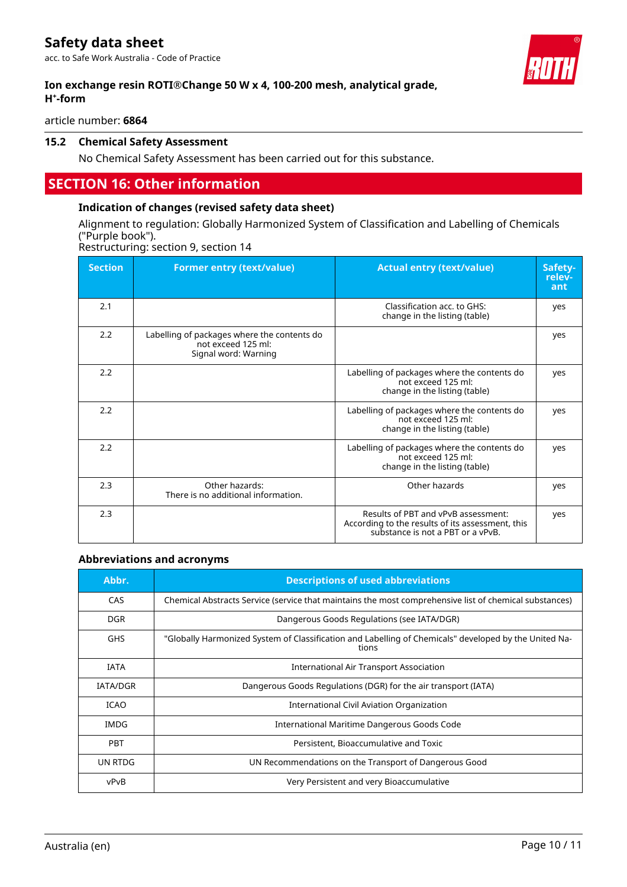### **Safety data sheet**

acc. to Safe Work Australia - Code of Practice

#### **Ion exchange resin ROTI®Change 50 W x 4, 100-200 mesh, analytical grade, H⁺-form**

article number: **6864**

#### **15.2 Chemical Safety Assessment**

No Chemical Safety Assessment has been carried out for this substance.

### **SECTION 16: Other information**

#### **Indication of changes (revised safety data sheet)**

Alignment to regulation: Globally Harmonized System of Classification and Labelling of Chemicals ("Purple book").

Restructuring: section 9, section 14

| <b>Section</b> | <b>Former entry (text/value)</b>                                                          | <b>Actual entry (text/value)</b>                                                                                             | Safety-<br>relev-<br>ant |
|----------------|-------------------------------------------------------------------------------------------|------------------------------------------------------------------------------------------------------------------------------|--------------------------|
| 2.1            |                                                                                           | Classification acc. to GHS:<br>change in the listing (table)                                                                 | yes                      |
| 2.2            | Labelling of packages where the contents do<br>not exceed 125 ml:<br>Signal word: Warning |                                                                                                                              | yes                      |
| 2.2            |                                                                                           | Labelling of packages where the contents do<br>not exceed 125 ml:<br>change in the listing (table)                           | yes                      |
| 2.2            |                                                                                           | Labelling of packages where the contents do<br>not exceed 125 ml:<br>change in the listing (table)                           | yes                      |
| 2.2            |                                                                                           | Labelling of packages where the contents do<br>not exceed 125 ml:<br>change in the listing (table)                           | yes                      |
| 2.3            | Other hazards:<br>There is no additional information.                                     | Other hazards                                                                                                                | yes                      |
| 2.3            |                                                                                           | Results of PBT and vPvB assessment:<br>According to the results of its assessment, this<br>substance is not a PBT or a vPvB. | yes                      |

#### **Abbreviations and acronyms**

| Abbr.           | <b>Descriptions of used abbreviations</b>                                                                      |
|-----------------|----------------------------------------------------------------------------------------------------------------|
| CAS             | Chemical Abstracts Service (service that maintains the most comprehensive list of chemical substances)         |
| <b>DGR</b>      | Dangerous Goods Regulations (see IATA/DGR)                                                                     |
| <b>GHS</b>      | "Globally Harmonized System of Classification and Labelling of Chemicals" developed by the United Na-<br>tions |
| <b>IATA</b>     | <b>International Air Transport Association</b>                                                                 |
| <b>IATA/DGR</b> | Dangerous Goods Regulations (DGR) for the air transport (IATA)                                                 |
| <b>ICAO</b>     | International Civil Aviation Organization                                                                      |
| IMDG            | International Maritime Dangerous Goods Code                                                                    |
| <b>PBT</b>      | Persistent, Bioaccumulative and Toxic                                                                          |
| UN RTDG         | UN Recommendations on the Transport of Dangerous Good                                                          |
| vPvB            | Very Persistent and very Bioaccumulative                                                                       |